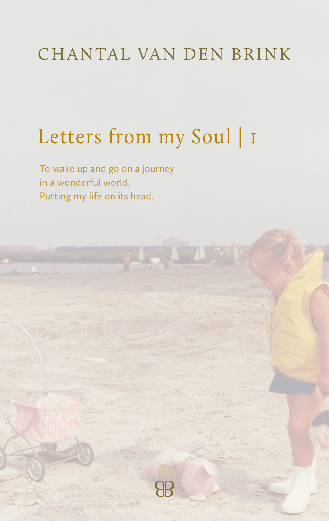#### CHANTAL VAN DEN BRINK

# Letters from my Soul | I

To wake up and go on a journey in a wonderful world, Putting my life on its head.

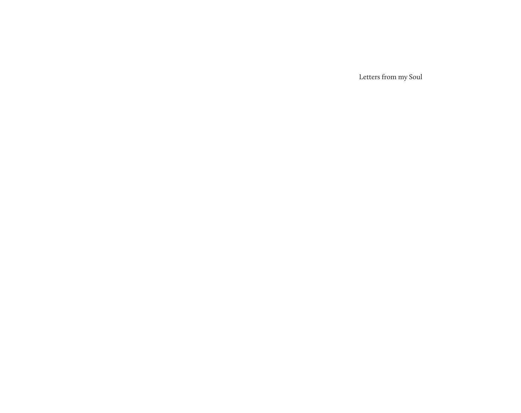Letters from my Soul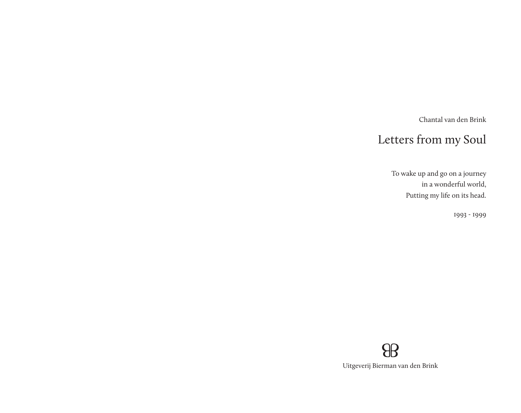Chantal van den Brink

## Letters from my Soul

To wake up and go on a journey in a wonderful world, Putting my life on its head.

1993 - 1999

### $\theta$ Uitgeverij Bierman van den Brink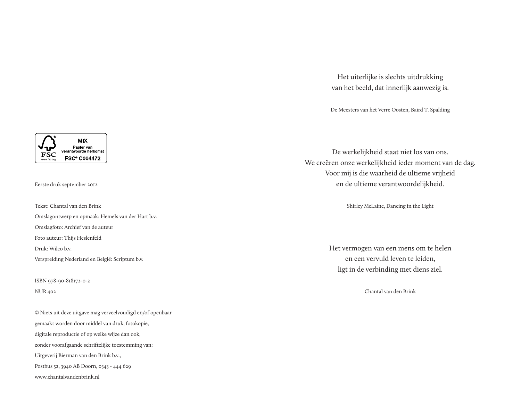Het uiterlijke is slechts uitdrukking van het beeld, dat innerlijk aanwezig is.

De Meesters van het Verre Oosten, Baird T. Spalding

De werkelijkheid staat niet los van ons. We creëren onze werkelijkheid ieder moment van de dag. Voor mij is die waarheid de ultieme vrijheid en de ultieme verantwoordelijkheid.

Shirley McLaine, Dancing in the Light

Het vermogen van een mens om te helen en een vervuld leven te leiden, ligt in de verbinding met diens ziel.

Chantal van den Brink

**MIX** Papier van twoorde herkomst FSC **FSC® C004472** 

Eerste druk september 2012

Tekst: Chantal van den Brink Omslagontwerp en opmaak: Hemels van der Hart b.v. Omslagfoto: Archief van de auteur Foto auteur: Thijs Heslenfeld Druk: Wilco b.v. Verspreiding Nederland en België: Scriptum b.v.

ISBN 978-90-818172-0-2 NUR 402

© Niets uit deze uitgave mag verveelvoudigd en/of openbaar gemaakt worden door middel van druk, fotokopie, digitale reproductie of op welke wijze dan ook, zonder voorafgaande schriftelijke toestemming van: Uitgeverij Bierman van den Brink b.v., Postbus 52, 3940 AB Doorn, 0343 - 444 629 www.chantalvandenbrink.nl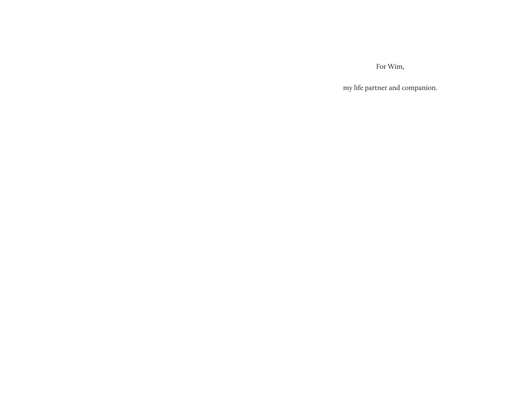For Wim,

my life partner and companion.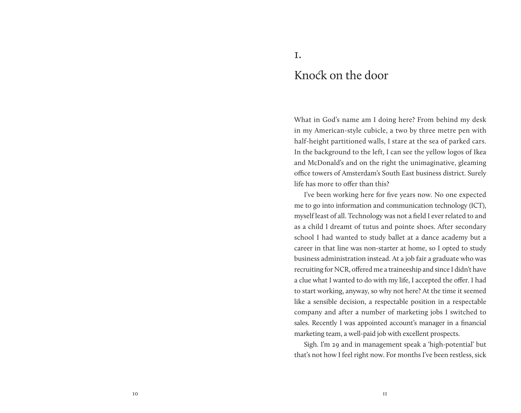#### Knock on the door

What in God's name am I doing here? From behind my desk in my American-style cubicle, a two by three metre pen with half-height partitioned walls, I stare at the sea of parked cars. In the background to the left, I can see the yellow logos of Ikea and McDonald's and on the right the unimaginative, gleaming office towers of Amsterdam's South East business district. Surely life has more to offer than this?

I've been working here for five years now. No one expected me to go into information and communication technology (ICT), myself least of all. Technology was not a field I ever related to and as a child I dreamt of tutus and pointe shoes. After secondary school I had wanted to study ballet at a dance academy but a career in that line was non-starter at home, so I opted to study business administration instead. At a job fair a graduate who was recruiting for NCR, offered me a traineeship and since I didn't have a clue what I wanted to do with my life, I accepted the offer. I had to start working, anyway, so why not here? At the time it seemed like a sensible decision, a respectable position in a respectable company and after a number of marketing jobs I switched to sales. Recently I was appointed account's manager in a financial marketing team, a well-paid job with excellent prospects.

Sigh. I'm 29 and in management speak a 'high-potential' but that's not how I feel right now. For months I've been restless, sick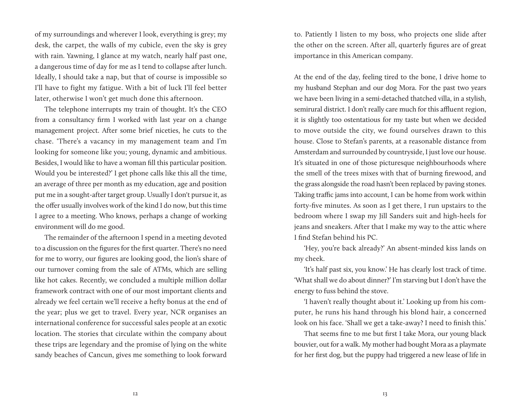of my surroundings and wherever I look, everything is grey; my desk, the carpet, the walls of my cubicle, even the sky is grey with rain. Yawning, I glance at my watch, nearly half past one, a dangerous time of day for me as I tend to collapse after lunch. Ideally, I should take a nap, but that of course is impossible so I'll have to fight my fatigue. With a bit of luck I'll feel better later, otherwise I won't get much done this afternoon.

The telephone interrupts my train of thought. It's the CEO from a consultancy firm I worked with last year on a change management project. After some brief niceties, he cuts to the chase. 'There's a vacancy in my management team and I'm looking for someone like you; young, dynamic and ambitious. Besides, I would like to have a woman fill this particular position. Would you be interested?' I get phone calls like this all the time, an average of three per month as my education, age and position put me in a sought-after target group. Usually I don't pursue it, as the offer usually involves work of the kind I do now, but this time I agree to a meeting. Who knows, perhaps a change of working environment will do me good.

The remainder of the afternoon I spend in a meeting devoted to a discussion on the figures for the first quarter. There's no need for me to worry, our figures are looking good, the lion's share of our turnover coming from the sale of ATMs, which are selling like hot cakes. Recently, we concluded a multiple million dollar framework contract with one of our most important clients and already we feel certain we'll receive a hefty bonus at the end of the year; plus we get to travel. Every year, NCR organises an international conference for successful sales people at an exotic location. The stories that circulate within the company about these trips are legendary and the promise of lying on the white sandy beaches of Cancun, gives me something to look forward

to. Patiently I listen to my boss, who projects one slide after the other on the screen. After all, quarterly figures are of great importance in this American company.

At the end of the day, feeling tired to the bone, I drive home to my husband Stephan and our dog Mora. For the past two years we have been living in a semi-detached thatched villa, in a stylish, semirural district. I don't really care much for this affluent region, it is slightly too ostentatious for my taste but when we decided to move outside the city, we found ourselves drawn to this house. Close to Stefan's parents, at a reasonable distance from Amsterdam and surrounded by countryside, I just love our house. It's situated in one of those picturesque neighbourhoods where the smell of the trees mixes with that of burning firewood, and the grass alongside the road hasn't been replaced by paving stones. Taking traffic jams into account, I can be home from work within forty-five minutes. As soon as I get there, I run upstairs to the bedroom where I swap my Jill Sanders suit and high-heels for jeans and sneakers. After that I make my way to the attic where I find Stefan behind his PC.

'Hey, you're back already?' An absent-minded kiss lands on my cheek.

'It's half past six, you know.' He has clearly lost track of time. 'What shall we do about dinner?' I'm starving but I don't have the energy to fuss behind the stove.

'I haven't really thought about it.' Looking up from his computer, he runs his hand through his blond hair, a concerned look on his face. 'Shall we get a take-away? I need to finish this.'

That seems fine to me but first I take Mora, our young black bouvier, out for a walk. My mother had bought Mora as a playmate for her first dog, but the puppy had triggered a new lease of life in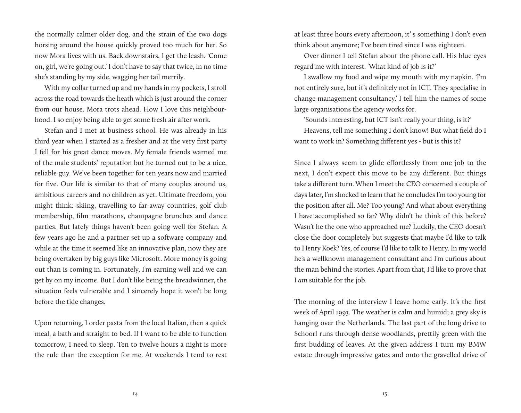the normally calmer older dog, and the strain of the two dogs horsing around the house quickly proved too much for her. So now Mora lives with us. Back downstairs, I get the leash. 'Come on, girl, we're going out.' I don't have to say that twice, in no time she's standing by my side, wagging her tail merrily.

With my collar turned up and my hands in my pockets, I stroll across the road towards the heath which is just around the corner from our house. Mora trots ahead. How I love this neighbourhood. I so enjoy being able to get some fresh air after work.

Stefan and I met at business school. He was already in his third year when I started as a fresher and at the very first party I fell for his great dance moves. My female friends warned me of the male students' reputation but he turned out to be a nice, reliable guy. We've been together for ten years now and married for five. Our life is similar to that of many couples around us, ambitious careers and no children as yet. Ultimate freedom, you might think: skiing, travelling to far-away countries, golf club membership, film marathons, champagne brunches and dance parties. But lately things haven't been going well for Stefan. A few years ago he and a partner set up a software company and while at the time it seemed like an innovative plan, now they are being overtaken by big guys like Microsoft. More money is going out than is coming in. Fortunately, I'm earning well and we can get by on my income. But I don't like being the breadwinner, the situation feels vulnerable and I sincerely hope it won't be long before the tide changes.

Upon returning, I order pasta from the local Italian, then a quick meal, a bath and straight to bed. If I want to be able to function tomorrow, I need to sleep. Ten to twelve hours a night is more the rule than the exception for me. At weekends I tend to rest

at least three hours every afternoon, it' s something I don't even think about anymore; I've been tired since I was eighteen.

Over dinner I tell Stefan about the phone call. His blue eyes regard me with interest. 'What kind of job is it?'

I swallow my food and wipe my mouth with my napkin. 'I'm not entirely sure, but it's definitely not in ICT. They specialise in change management consultancy.' I tell him the names of some large organisations the agency works for.

'Sounds interesting, but ICT isn't really your thing, is it?'

Heavens, tell me something I don't know! But what field do I want to work in? Something different yes - but is this it?

Since I always seem to glide effortlessly from one job to the next, I don't expect this move to be any different. But things take a different turn. When I meet the CEO concerned a couple of days later, I'm shocked to learn that he concludes I'm too young for the position after all. Me? Too young? And what about everything I have accomplished so far? Why didn't he think of this before? Wasn't he the one who approached me? Luckily, the CEO doesn't close the door completely but suggests that maybe I'd like to talk to Henry Koek? Yes, of course I'd like to talk to Henry. In my world he's a wellknown management consultant and I'm curious about the man behind the stories. Apart from that, I'd like to prove that I *am* suitable for the job.

The morning of the interview I leave home early. It's the first week of April 1993. The weather is calm and humid; a grey sky is hanging over the Netherlands. The last part of the long drive to Schoorl runs through dense woodlands, prettily green with the first budding of leaves. At the given address I turn my BMW estate through impressive gates and onto the gravelled drive of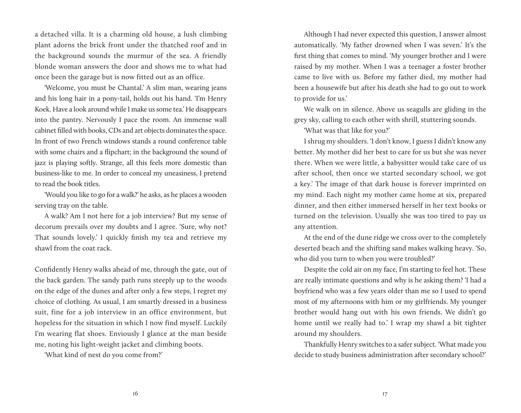a detached villa. It is a charming old house, a lush climbing plant adorns the brick front under the thatched roof and in the background sounds the murmur of the sea. A friendly blonde woman answers the door and shows me to what had once been the garage but is now fitted out as an office.

'Welcome, you must be Chantal.' A slim man, wearing jeans and his long hair in a pony-tail, holds out his hand. 'I'm Henry Koek. Have a look around while I make us some tea.' He disappears into the pantry. Nervously I pace the room. An immense wall cabinet filled with books, CDs and art objects dominates the space. In front of two French windows stands a round conference table with some chairs and a flipchart; in the background the sound of jazz is playing softly. Strange, all this feels more domestic than business-like to me. In order to conceal my uneasiness, I pretend to read the book titles.

'Would you like to go for a walk?' he asks, as he places a wooden serving tray on the table.

A walk? Am I not here for a job interview? But my sense of decorum prevails over my doubts and I agree. 'Sure, why not? That sounds lovely.' I quickly finish my tea and retrieve my shawl from the coat rack.

Confidently Henry walks ahead of me, through the gate, out of the back garden. The sandy path runs steeply up to the woods on the edge of the dunes and after only a few steps, I regret my choice of clothing. As usual, I am smartly dressed in a business suit, fine for a job interview in an office environment, but hopeless for the situation in which I now find myself. Luckily I'm wearing flat shoes. Enviously I glance at the man beside me, noting his light-weight jacket and climbing boots.

'What kind of nest do you come from?'

Although I had never expected this question, I answer almost automatically. 'My father drowned when I was seven.' It's the first thing that comes to mind. 'My younger brother and I were raised by my mother. When I was a teenager a foster brother came to live with us. Before my father died, my mother had been a housewife but after his death she had to go out to work to provide for us.'

We walk on in silence. Above us seagulls are gliding in the grey sky, calling to each other with shrill, stuttering sounds.

'What was that like for you?'

I shrug my shoulders. 'I don't know, I guess I didn't know any better. My mother did her best to care for us but she was never there. When we were little, a babysitter would take care of us after school, then once we started secondary school, we got a key.' The image of that dark house is forever imprinted on my mind. Each night my mother came home at six, prepared dinner, and then either immersed herself in her text books or turned on the television. Usually she was too tired to pay us any attention.

At the end of the dune ridge we cross over to the completely deserted beach and the shifting sand makes walking heavy. 'So, who did you turn to when you were troubled?'

Despite the cold air on my face, I'm starting to feel hot. These are really intimate questions and why is he asking them? 'I had a boyfriend who was a few years older than me so I used to spend most of my afternoons with him or my girlfriends. My younger brother would hang out with his own friends. We didn't go home until we really had to.' I wrap my shawl a bit tighter around my shoulders.

Thankfully Henry switches to a safer subject. 'What made you decide to study business administration after secondary school?'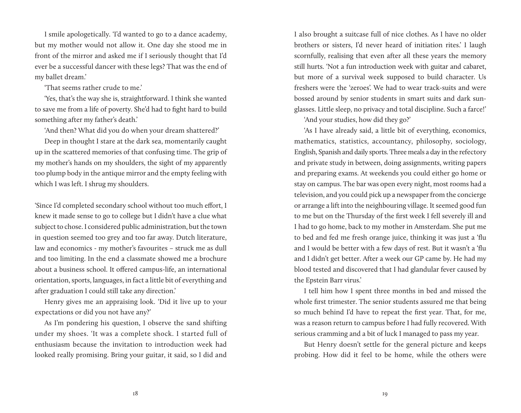I smile apologetically. 'I'd wanted to go to a dance academy, but my mother would not allow it. One day she stood me in front of the mirror and asked me if I seriously thought that I'd ever be a successful dancer with these legs? That was the end of my ballet dream.'

'That seems rather crude to me.'

'Yes, that's the way she is, straightforward. I think she wanted to save me from a life of poverty. She'd had to fight hard to build something after my father's death.'

'And then? What did you do when your dream shattered?'

Deep in thought I stare at the dark sea, momentarily caught up in the scattered memories of that confusing time. The grip of my mother's hands on my shoulders, the sight of my apparently too plump body in the antique mirror and the empty feeling with which I was left. I shrug my shoulders.

'Since I'd completed secondary school without too much effort, I knew it made sense to go to college but I didn't have a clue what subject to chose. I considered public administration, but the town in question seemed too grey and too far away. Dutch literature, law and economics - my mother's favourites – struck me as dull and too limiting. In the end a classmate showed me a brochure about a business school. It offered campus-life, an international orientation, sports, languages, in fact a little bit of everything and after graduation I could still take any direction.'

Henry gives me an appraising look. 'Did it live up to your expectations or did you not have any?'

As I'm pondering his question, I observe the sand shifting under my shoes. 'It was a complete shock. I started full of enthusiasm because the invitation to introduction week had looked really promising. Bring your guitar, it said, so I did and

I also brought a suitcase full of nice clothes. As I have no older brothers or sisters, I'd never heard of initiation rites.' I laugh scornfully, realising that even after all these years the memory still hurts. 'Not a fun introduction week with guitar and cabaret, but more of a survival week supposed to build character. Us freshers were the 'zeroes'. We had to wear track-suits and were bossed around by senior students in smart suits and dark sunglasses. Little sleep, no privacy and total discipline. Such a farce!'

'And your studies, how did they go?'

'As I have already said, a little bit of everything, economics, mathematics, statistics, accountancy, philosophy, sociology, English, Spanish and daily sports. Three meals a day in the refectory and private study in between, doing assignments, writing papers and preparing exams. At weekends you could either go home or stay on campus. The bar was open every night, most rooms had a television, and you could pick up a newspaper from the concierge or arrange a lift into the neighbouring village. It seemed good fun to me but on the Thursday of the first week I fell severely ill and I had to go home, back to my mother in Amsterdam. She put me to bed and fed me fresh orange juice, thinking it was just a 'flu and I would be better with a few days of rest. But it wasn't a 'flu and I didn't get better. After a week our GP came by. He had my blood tested and discovered that I had glandular fever caused by the Epstein Barr virus.'

I tell him how I spent three months in bed and missed the whole first trimester. The senior students assured me that being so much behind I'd have to repeat the first year. That, for me, was a reason return to campus before I had fully recovered. With serious cramming and a bit of luck I managed to pass my year.

But Henry doesn't settle for the general picture and keeps probing. How did it feel to be home, while the others were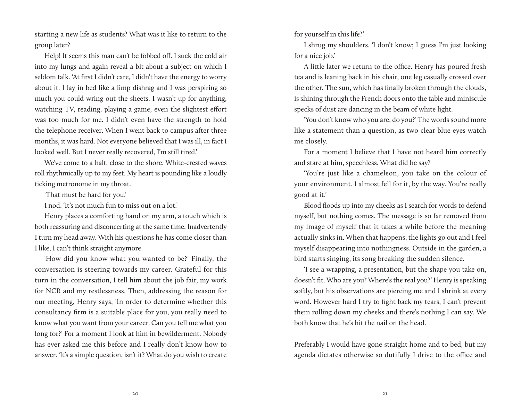starting a new life as students? What was it like to return to the group later?

Help! It seems this man can't be fobbed off. I suck the cold air into my lungs and again reveal a bit about a subject on which I seldom talk. 'At first I didn't care, I didn't have the energy to worry about it. I lay in bed like a limp dishrag and I was perspiring so much you could wring out the sheets. I wasn't up for anything, watching TV, reading, playing a game, even the slightest effort was too much for me. I didn't even have the strength to hold the telephone receiver. When I went back to campus after three months, it was hard. Not everyone believed that I was ill, in fact I looked well. But I never really recovered, I'm still tired.'

We've come to a halt, close to the shore. White-crested waves roll rhythmically up to my feet. My heart is pounding like a loudly ticking metronome in my throat.

'That must be hard for you.'

I nod. 'It's not much fun to miss out on a lot.'

Henry places a comforting hand on my arm, a touch which is both reassuring and disconcerting at the same time. Inadvertently I turn my head away. With his questions he has come closer than I like, I can't think straight anymore.

'How did you know what you wanted to be?' Finally, the conversation is steering towards my career. Grateful for this turn in the conversation, I tell him about the job fair, my work for NCR and my restlessness. Then, addressing the reason for our meeting, Henry says, 'In order to determine whether this consultancy firm is a suitable place for you, you really need to know what you want from your career. Can you tell me what you long for?' For a moment I look at him in bewilderment. Nobody has ever asked me this before and I really don't know how to answer. 'It's a simple question, isn't it? What do you wish to create for yourself in this life?'

I shrug my shoulders. 'I don't know; I guess I'm just looking for a nice job.'

A little later we return to the office. Henry has poured fresh tea and is leaning back in his chair, one leg casually crossed over the other. The sun, which has finally broken through the clouds, is shining through the French doors onto the table and miniscule specks of dust are dancing in the beam of white light.

'You don't know who you are, do you?' The words sound more like a statement than a question, as two clear blue eyes watch me closely.

For a moment I believe that I have not heard him correctly and stare at him, speechless. What did he say?

'You're just like a chameleon, you take on the colour of your environment. I almost fell for it, by the way. You're really good at it.'

Blood floods up into my cheeks as I search for words to defend myself, but nothing comes. The message is so far removed from my image of myself that it takes a while before the meaning actually sinks in. When that happens, the lights go out and I feel myself disappearing into nothingness. Outside in the garden, a bird starts singing, its song breaking the sudden silence.

'I see a wrapping, a presentation, but the shape you take on, doesn't fit. Who are you? Where's the real you?' Henry is speaking softly, but his observations are piercing me and I shrink at every word. However hard I try to fight back my tears, I can't prevent them rolling down my cheeks and there's nothing I can say. We both know that he's hit the nail on the head.

Preferably I would have gone straight home and to bed, but my agenda dictates otherwise so dutifully I drive to the office and